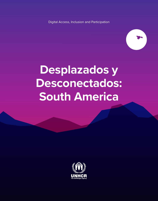Digital Access, Inclusion and Participation



## **Desplazados y Desconectados: South America**

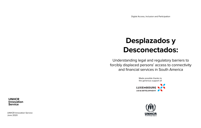Digital Access, Inclusion and Participation

## **Desplazados y Desconectados:**

Understanding legal and regulatory barriers to forcibly displaced persons' access to connectivity and financial services in South America

> Made possible thanks to the generous support of:





**UNHCR Innovation Service**

UNHCR Innovation Service June 2020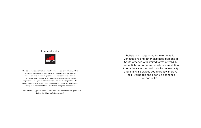#### In partnership with:



The GSMA represents the interests of mobile operators worldwide, uniting more than 750 operators with almost 400 companies in the broader mobile ecosystem, including handset and device makers, software companies, equipment providers and internet companies, as well as organisations in adjacent industry sectors. The GSMA also produces the industry-leading MWC events held annually in Barcelona, Los Angeles and Shanghai, as well as the Mobile 360 Series of regional conferences.

For more information, please visit the GSMA corporate website at www.gsma.com Follow the GSMA on Twitter: @GSMA

Rebalancing regulatory requirements for Venezuelans and other displaced persons in South America with limited forms of valid ID credentials and other required documentation to enable access to basic mobile connectivity and financial services could greatly improve their livelihoods and open up economic opportunities.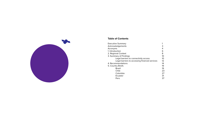

#### **Table of Contents**

| Executive Summary                              |    |
|------------------------------------------------|----|
| Acknowledgements                               | 3  |
| Acronyms                                       | 4  |
| 1. Introduction                                | 6  |
| 2. Regional Context                            | 8  |
| 3. Summary of Findings                         | 10 |
| Legal barriers to connectivity access          | 10 |
| Legal barriers to accessing financial services | 12 |
| 4. Recommendations                             | 14 |
| 5. Country Briefs                              | 19 |
| Brazil                                         | 19 |
| Chile                                          | 23 |
| Colombia                                       | 27 |
| Ecuador                                        | 31 |
| Peru                                           | 37 |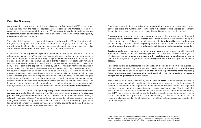#### <span id="page-4-0"></span>**Executive Summary**

As a protection agency, the UN High Commissioner for Refugees (UNHCR) is concerned about the risks that the forcibly displaced take to connect and transact in their host communities. Previous research by the UNHCR Innovation Service has found that **barriers to accessing mobile and financial services** are often the result of **unaccommodating policy environments** in host countries.

This policy brief, focused on concerns following from the exodus of 5.1 million Venezuelan refugees and migrants mainly to other countries in the region, explores the legal and regulatory barriers for displaced persons to access mobile and financial services across **five South American countries**: Brazil, Chile, Colombia, Ecuador, and Peru.

In the context of this **large-scale population movement** in Latin America and the Caribbean, refugees and migrants from Venezuela are facing challenges in obtaining and renewing travel documents, leading to many undertaking journeys with **no valid forms of ID**. In addition, the irregular status of Venezuelan refugees and migrants in countries of destination remains a key concern that seriously affects their protection situation and local integration possibilities. Forty-four per cent of the population covered by UNHCR Protection Monitoring activities in the second half of 2019 was not in possession of any type of legal stay or residence permit in the country of destination. Some governments advanced in 2018-2019 the implementation of a series of pathways to facilitate the regularization of Venezuelan refugees and migrants are even recognizing the validity of expired documents. However, many Venezuelan refugees and migrants still remain in an irregular situation and / or undocumented and unable to meet local customer identification requirements to access connectivity and financial service. This leaves millions of people unable to legally access online information, communicate with others, and receive cash assistance and transfers, among other **benefits of connectivity**.

In each of the five countries surveyed, **migratory status, identification and documentation requirements** applied to mobile users and banking clients are **creating barriers for displaced persons to legally access services**. Compared to other parts of the world, mobile money is relatively immature in South America and many countries do not have specific regulations that govern mobile money. However, new applications present interesting opportunities for persons of concern to access services, most notably payments, and should be closely monitored by humanitarian organizations and donors.

Emerging from the findings is a series of **recommendations** targeted at government bodies, service providers, and humanitarian organizations in the region to help address legal barriers facing displaced persons in their access to mobile and financial services, including:

For **government bodies** to: issue **clearer guidance** on applicable requirements for displaced persons; ensure **comprehensive coverage** for all legal residents while acknowledging the unique circumstances of displaced populations; consider **tiered due diligence requirements**  for the forcibly displaced; convene **regionally** to address access and inclusion concerns in a **more harmonized way**; and to use **regulation** to **facilitate safe and responsible innovation**.

**Service providers** are encouraged to: better **inform agents** about refugee identification and identity verification; reconsider **dormancy periods** for connectivity services that might cut off displaced people; **engage more closely with regulators and humanitarians** on issues pertinent to refugees and migrants; and leverage **regional footprints** to support humanitarian access.

Recommendations to **humanitarian organizations i**n the region build on those outlined in the initial *Displaced and Disconnected* report and include: **advocating** for the **digital and financial inclusion** of people of concern in **national and regional frameworks**; facilitating **faster registration and documentation**; and **sensitizing service providers** to **become refugee and migrant ready**, among others.

These issues have been elevated by the **COVID-19 crisis** in which remote access to information and humanitarian assistance is proving to be especially vital to persons of concern. Stakeholders in the region should convene immediately to address the legal and regulatory barriers impeding displaced persons' access to critical services. Together with the World Bank, the International Telecommunications Union and the World Economic Forum, the GSMA has created a joint action plan to develop concrete actions to help governments and the private sector cope with the pandemic outlining a series of recommendations to mitigate challenges faced in the effectively delivery of humanitarian assistance as part of the COVID-19 response.1

<sup>1</sup> GSMA. Policy and Regulatory Recommendations to Facilitate Mobile Humanitarian and Social Assistance during COVID-19 www.gsma.com/mobilefordevelopment/blog/policy-and-regulatoryrecommendations-to-facilitate-the-role-of-mobile-in-humanitarian-assistance-in-a-covid-19-world/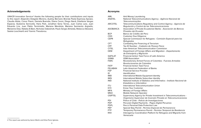#### <span id="page-5-0"></span>**Acknowledgements**

UNHCR Innovation Service2 thanks the following people for their contributions and inputs to this report: Alejandro Delgado Moreno, Audrey Bernard, Brenda Paola Espinosa Apraez, Claudia Aliste, Conor Flavin, Daniela Buendia, Diana Ceron, Diego Nardi, Estefania Vargas Esparza, Giulianna Serricella, Hans Park, Jonathan Sena Torres, Juan Carlos Lara, Juan Eduardo Lira, Juan Pablo Terminiello, Mariana Mendiola, Mariana Sarmiento Argüello, Marianne Díaz, Natalia Al Bani, Nicholas Oakeshott, Paulo Sergio Almeida, Rebecca Steward, Saskia Loochkartt and Yiannis Theodorou.

#### **Acronyms**

| AML                        | Anti Money Laundering                                                                                                |
|----------------------------|----------------------------------------------------------------------------------------------------------------------|
| <b>ANATEL</b>              | National Telecommunications Agency - Agência Nacional de                                                             |
|                            | Telecomunicações                                                                                                     |
| <b>ARCOTEL</b>             | Telecommunications Regulatory and Control Agency - Agencia de                                                        |
|                            | Regulación y Control de las Telecomunicaciones                                                                       |
| <b>ASOBANCA</b>            | Association of Private Ecuadorian Banks - Asociación de Bancos                                                       |
|                            | Privados del Ecuador                                                                                                 |
| <b>BCP</b>                 | Banco de Crédito del Perú                                                                                            |
| <b>CDD</b>                 | <b>Customer Due Diligence</b>                                                                                        |
| <b>CEPR</b>                | Special Commission for Refugees - Comisión Especial para los                                                         |
|                            | Refugiados                                                                                                           |
| <b>CFT</b>                 | Combating the Financing of Terrorism                                                                                 |
| <b>CPF</b>                 | Tax ID Number - Cadastro de Pessoa Física                                                                            |
| <b>CITEL</b>               | Inter-American Telecommunication Commision                                                                           |
| <b>DEM</b>                 | Department of Foreign Affairs and Migration - Departamento                                                           |
|                            | de Extranjería y Migración                                                                                           |
| <b>GAFILAT</b>             | Financial Action Task Force of Latin America                                                                         |
| <b>GSMA</b>                | <b>GSM Association</b>                                                                                               |
| <b>FARC</b>                | Revolutionary Armed Forces of Colombia - Fuerzas Armadas                                                             |
|                            | Revolucionarias de Colombia                                                                                          |
| <b>FATF</b>                | <b>Financial Action Task Force</b>                                                                                   |
| <b>FELABAN</b>             | Latin American Federation of Banks                                                                                   |
| <b>FSP</b>                 | <b>Financial Service Provider</b>                                                                                    |
| ID                         | Identification                                                                                                       |
| <b>IMEI</b>                | International Mobile Equipment Identity                                                                              |
| <b>IMSI</b><br><b>INEI</b> | International Mobile Subscriber Identity<br>National Institute of Statistics and Informatics - Instituto Nacional de |
|                            | Estadística e Informática                                                                                            |
| <b>ITU</b>                 | International Telecommunication Union                                                                                |
| <b>KYC</b>                 | Know Your Customer                                                                                                   |
| MFA                        | Ministry of Foreign Affairs                                                                                          |
| <b>MNO</b>                 | Mobile Network Operator                                                                                              |
| <b>OSIPTEL</b>             | Supervisory Agency for Private Investment in Telecommunications -                                                    |
|                            | Organismo Supervisor de Inversión Privada en Telecomunicaciones                                                      |
| <b>PDI</b>                 | Police of Chile - Policía de Investigaciones                                                                         |
| <b>PDP</b>                 | Peruvian Digital Payments - Pagos Digital Peruanos                                                                   |
| <b>PDPL</b>                | Peru's Personal Data Protection Law                                                                                  |
| <b>PEP</b>                 | Special Stay Permit - Permiso Especial de Permanencia                                                                |
| PTP                        | Temporary Permanence Permit - Permiso Temporal de Residencia                                                         |
| R4V                        | Interagency Coordination Platform for Refugees and Migrants from                                                     |
|                            | Venezuela                                                                                                            |

<sup>2</sup> This report was authored by Aaron Martin and Erika Perez Iglesias.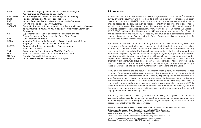<span id="page-6-0"></span>

| <b>RAMV</b>     | Administrative Registry of Migrants from Venezuela - Registro            |
|-----------------|--------------------------------------------------------------------------|
|                 | Administrativo de Migrantes de Venezuela                                 |
| <b>RENTESEG</b> | National Registry of Mobile Terminal Equipment for Security              |
| <b>RMRP</b>     | Regional Refugee and Migrant Response Plan                               |
| RNE             | National Foreigner Registry - Registro Nacional de Estrangeiros          |
| <b>RUN</b>      | National Unique Role- Rol Único Nacional                                 |
| <b>SARLAFT</b>  | System for Preventing Asset Laundering and Terrorism Financing - Sistema |
|                 | de Administración de Riesgo de Lavado de Activos y Financiación del      |
|                 | Terrorismo                                                               |
| <b>SBIF</b>     | Superintendency of Banks and Financial Institutions of Chile -           |
|                 | Superintendencia de Bancos e Instituciones Financieras                   |
| <b>SIM</b>      | Subscriber Identity Mobile                                               |
| <b>SIPLA</b>    | Integrated System for the Prevention of Asset Laundering - Sistema       |
|                 | Integral para la Prevención del Lavado de Activos                        |
| <b>SUBTEL</b>   | Department of Telecommunications - Subsecretaria de                      |
|                 | <b>Telecomunicaciones</b>                                                |
| <b>TMF</b>      | Border Mobility Card - Tarjeta de Movilidad Fronteriza                   |
| <b>UAF</b>      | Financial Analysis Unit - Unidad de Análisis Financiero                  |
| <b>UIF Peru</b> | Peruvian Financial Intelligence Unit                                     |
| <b>UNHCR</b>    | United Nations High Commissioner for Refugees                            |
|                 |                                                                          |

#### **1. Introduction**

In 2019, the UNHCR Innovation Service published *Displaced and Disconnected*,<sup>3</sup> a research survey of twenty countries<sup>4</sup> which are host to significant numbers of refugees and other persons of concern<sup>5</sup> to UNHCR, to explore how non-conducive regulatory environments impede access to key services such as mobile connectivity, banking, and digital finance including mobile money. The research found that legal requirements which mandate proof of identity to access these services, particularly Know Your Customer / Customer Due Diligence (KYC / CDD)6 and Subscriber Identity Mobile (SIM) registration requirements from financial and telecommunications regulators, respectively, continue to be a considerable barrier to persons of concern, many of whom lack valid forms of government-issued or recognized ID with which to legally access services.

The research also found that these identity requirements may further marginalize and disempower refugees and others who consequently find it harder to legally access online information, communicate with others, and receive cash assistance and transfers, among other benefits of connectivity. For humanitarian organizations, the lack of legal certainty, inconsistently applied regulations or sudden changes in regulatory expectations as regards beneficiary identification can disrupt the delivery of humanitarian assistance, making it harder to provide aid. When legal access is not a reliable option, for example in time-constrained emergency situations, workarounds are sometimes an operational necessity (for example, the bulk registration of SIM cards against a humanitarian agency's legal identity), though these measures can bring risk to both humanitarian organizations and end users.

Many of these barriers are the result of unaccommodating policy environments in host countries, for example unwillingness to reform policy frameworks to recognize the legal status and forms of ID commonly issued to or held by displaced persons. The research also identified operational concerns such as extended delays in the government's registration and issuance of ID credentials to asylum seekers and refugees, which may lead users to pursue risky workarounds to gain access to services. As a protection agency, UNHCR is concerned about the risks that persons of concern take to connect and transact, and thus the agency continues to develop an evidence base to inform appropriate advocacy and engagement efforts to improve legal access.

This policy brief, focused specifically on concerns following the large-scale movement of Venezuelan refugees and migrants to other countries in the region, is another important step in developing evidence for the agency to address legal and regulatory barriers that impede access to connectivity and financial services.

<sup>3</sup> UNHCR. Displaced and Disconnected: <https://www.unhcr.org/innovation/displaced-and-disconnected/>

<sup>4</sup> Afghanistan, Bangladesh, Brazil, Burundi, Cameroon, Central African Republic, Chad, Democratic Republic of Congo, Ethiopia, Jordan, Kenya, Lebanon, Mauritania, Niger, Nigeria, Rwanda, Tanzania, Turkey, Uganda, and Zambia

<sup>5</sup> Persons of Concern to UNHCR: <https://www.unhcr.org/ph/persons-concern-unhcr>

<sup>6</sup> KYC / CDD requirements are usually part of Anti-Money Laundering and Countering Financing of Terrorism (AML / CFT) laws and regulations.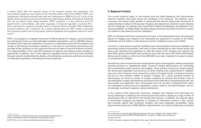<span id="page-7-0"></span>In March 2020, after the research phase of this research project was completed, new and pertinent quidance was issued by the Financial Action Task Force (FATF).<sup>7</sup> FATF is an independent intergovernmental body that was established in 1989 by the G7. It acts as the global money laundering and terrorist financing watchdog by setting international standards that aim to prevent these illegal activities. FATF's guidance is a key reference point for governments, Central Banks, and other regulators in financial regulation, including KYC / CDD requirements relating to identity when a Financial Service Provider (FSP) establishes business relations with a customer. As a policy-making body, the FATF works to generate the necessary political will to bring about national legislative and regulatory reforms in these areas.<sup>8</sup>

FATF's new guidance recognizes that proof of official identity for refugees can be provided by a host government or an internationally mandated organization, such as UNHCR acting on its behalf. It also notes the importance of access to a transaction account for the delivery and receipt of life-saving humanitarian assistance in the form of cash-based interventions and provides further guidance on the measures that can be taken to prevent financial exclusion. The implementation of this new FATF guidance at regional and national levels provides an opportunity to address some of the legal and regulatory barriers that have been identified through research and facilitate the delivery of humanitarian assistance and financial inclusion of vulnerable populations, including the forcibly displaced.

#### **2. Regional Context**

The current research builds on the lessons from the initial *Displaced and Disconnected*  report to examine how these issues are unfolding in the Americas. The political, socioeconomic, and human rights situation in Venezuela has spurred large-scale movements of unprecedented numbers of Venezuelan refugees and migrants to countries in Latin America and the Caribbean. According to the Coordination Platform for Refugees and Migrants<sup>9</sup> from Venezuela (R4V),<sup>10</sup> as of May 2020, 5.1 million people have fled Venezuela of which 4.3 million are hosted in Latin America and the Caribbean.<sup>11</sup>

With no indication that these movements will cease in the foreseeable future, the projected figures of refugees and migrants from Venezuela are expected to increase to 6.5 million worldwide and 5.5 million in Latin American and the Caribbean by the end of 2020.

Countries in Latin America and the Caribbean have demonstrated continuous solidarity and generosity towards Venezuelans, with many of them maintaining an open-border policy and some even adjusting their legislation to meet the needs of the refugees and migrants. By April 2020, government efforts had resulted in more than two and a half million Venezuelans being issued residency, while more than 850,000 have been registered as asylum seekers or recognized as refugees.

Nonetheless, these movements have impacted the region's demographic makeup and placed growing pressure on neighboring states. Countries hosting Venezuelans are contending with overstretched public services and budgets, social tensions arising from stigma against the Venezuelan population and pressure to revise existing entry requirements or establish new ones. Such measures have caused the number of irregular border crossings to increase and put an even greater number of people in danger. As a result, growing numbers of Venezuelans are forced to remain in irregular situations for reasons that include a lack of documentation, lengthy administrative procedures and restrictions, long waiting periods, and inaccessible visa application fees. Venezuelans who are not able to regularize their status are vulnerable to various forms of exploitation, abuse, violence, and discrimination, and are increasingly resorting to negative coping mechanisms.

In the context of this large-scale movement, refugees and migrants from Venezuela are facing challenges in obtaining and renewing travel documents, leading to a large number of Venezuelans with no valid forms of ID during their journeys. In addition, the irregular status of Venezuelan refugees and migrants in countries of destination remains a key concern that seriously affects their protection situation and local integration possibilities. Some governments advanced in 2018-2019 the implementation of a series of pathways to facilitate

<sup>7</sup> FATF. Guidance on Digital Identity: [http://www.fatf-gafi.org/publications/](http://www.fatf-gafi.org/publications/fatfrecommendations/documents/digital-identity-guidance.html) [fatfrecommendations/documents/digital-identity-guidance.html](http://www.fatf-gafi.org/publications/fatfrecommendations/documents/digital-identity-guidance.html)

<sup>8</sup> FATF. Who we are: <http://www.fatf-gafi.org/about/whoweare/>

<sup>9</sup> It is important to note the legal distinction between the terms 'refugee' and 'migrant': [https://](https://www.unhcr.org/news/latest/2016/7/55df0e556/unhcr-viewpoint-refugee-migrant-right.html) [www.unhcr.org/news/latest/2016/7/55df0e556/unhcr-viewpoint-refugee-migrant-right.html](https://www.unhcr.org/news/latest/2016/7/55df0e556/unhcr-viewpoint-refugee-migrant-right.html)

<sup>10</sup> https://r4v.info/

<sup>11</sup> R4V. Venezuelan refugees and migrants in the region https://r4v.info/es/documents/download/76206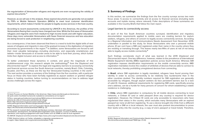<span id="page-8-0"></span>the regularization of Venezuelan refugees and migrants are even recognizing the validity of expired documents.<sup>12</sup>

However, as we will see in the analysis, these expired documents are generally not accepted by FSPs or Mobile Network Operators (MNOs) to meet local customer identification requirements, which makes it harder for people to legally access services in the host country.

According to recent assessments conducted by UNHCR in the Americas, the profiles of the Venezuelans fleeing their country have changed over time. While the first wave of Venezuelan refugees and migrants were from medium-to-high income levels and with higher education, these days more vulnerable Venezuelans with fewer financial resources and less education are being forced to seek protection in neighboring countries.

As a consequence, it has been observed that there is a need to build the digital skills of new waves of refugees and migrants in view of the gradual increase in the digitization of migration processes by governments in the region.13 In addition, some Venezuelans are forced to sell their most valuable belongings—including electronics, and especially smartphones and tablets—inside Venezuela or at border areas to be able to fund their journey, which further limits their digital inclusion and access to information.<sup>14</sup>

To better understand these dynamics in context, and given the magnitude of this multidimensional crisis, this research adopts the methodology15 from the *Displaced and Disconnected* report<sup>16</sup> to explore the legal and regulatory barriers to accessing connectivity and financial services across five South American countries, namely Brazil, Chile, Colombia, Ecuador, and Peru, as these are the top five Venezuelan-hosting countries in the world.<sup>17</sup> The next section provides a summary of the findings from the five countries, with a particular focus on those who have been formally registered as asylum seekers or granted refugee status in hosting countries, before turning to recommendations on how to address legal access challenges across the region.

14 R4V. Regional Information and Communication Needs Assessment: <https://r4v.info/es/documents/download/73683> (p. 21)

16 UNHCR. Displaced and Disconnected:<https://www.unhcr.org/innovation/displaced-and-disconnected/>

#### **3. Summary of Findings**

In this section, we summarize the findings from the five country surveys across two main focus areas: 1) access to connectivity and 2) access to financial services (including bank accounts and mobile money, where relevant). Fuller descriptions of these summaries are available in the Country Briefs that follow the main report.

#### Legal barriers to connectivity access

In each of the five South American countries surveyed, identification and migratory documentation requirements applied to mobile users are creating barriers for asylum seekers, refugees, and others of concern to legally access connectivity services. According to a Regional Information and Communications Needs Assessment from November 2019, undertaken in parallel to this study, for those Venezuelans who own a personal mobile phone, 61 per cent have a SIM card registered under their name in the country where they are residing or transiting through. This leaves nearly two-fifths of users at risk of not being able to legally access mobile connectivity.<sup>18</sup>

Such findings corroborate much of what was learned in the 2019 *Displaced and Disconnected* report. One key difference, however, relates to the prevalence of International Mobile Equipment Identity (IMEI) registration policies across South America. Whereas SIM registration imposes identification requirements on the *mobile connectivity service*, IMEI registration mandates involve the creation of *whitelists of devices* that are able to connect to local networks, thereby prohibiting unregistered devices from connecting.

In **Brazil**, where SIM registration is legally mandated, refugees have found proving their identity in order to access connectivity to be relatively less burdensome than in the other countries studied. The identity numbers required for SIM registration are generally accessible by refugees, though asylum seekers do face persistent barriers due to a lack of valid ID. However, additional requirements for registering SIM cards, specifically proving one's address, can be a hurdle for many persons of concern for whom establishing a stable residence is challenging.

In **Chile**, where IMEI registration is compulsory for all mobile devices connecting to local networks, a Chilean ID card or valid passport (from any country) is required for device registration. However, the Chilean ID cards are only accessible to newcomers who have regularized their status in the country, which excludes many Venezuelans with an expired passport (or none at all) from registering. To use a device brought into Chile from a different country with a SIM on a local network, the user must also present documentation to prove their lawful entry into the country (e.g. a copy of one's passport or travel ticket). Therefore,

<sup>12</sup> Quito Process on Human Mobility in the Americas: [https://www.cancilleria.gob.ec/declaracion](https://www.cancilleria.gob.ec/declaracion-de-quito-sobre-movilidad-humana-de-ciudadanos-venezolanos-en-la-region/)[de-quito-sobre-movilidad-humana-de-ciudadanos-venezolanos-en-la-region/](https://www.cancilleria.gob.ec/declaracion-de-quito-sobre-movilidad-humana-de-ciudadanos-venezolanos-en-la-region/)

<sup>13</sup> Peru: [www.gob.pe/institucion/rree/noticias/9654-entra-en-funcionamiento](https://www.gob.pe/institucion/rree/noticias/9654-entra-en-funcionamiento-sistema-de-citas-en-linea-para-solicitantes-de-refugio)[sistema-de-citas-en-linea-para-solicitantes-de-refugio](https://www.gob.pe/institucion/rree/noticias/9654-entra-en-funcionamiento-sistema-de-citas-en-linea-para-solicitantes-de-refugio) Brazil:<http://sisconare.mj.gov.br/conare-web/login?1> [www.justica.gov.br/seus-direitos/refugio/anexos/rn29.pdf](http://www.justica.gov.br/seus-direitos/refugio/anexos/rn29.pdf)

<sup>15</sup> The research involved desk research and literature reviews, interviews with experts in the humanitarian, development, and identification/registration policy domains, surveys of UNHCR country operations, and ongoing engagement with trade bodies such as GSMA as well as local regulators.

<sup>17</sup> R4V. América Latina y el Caribe, refugiados y migrantes venezolanos en la región: <https://data2.unhcr.org/es/documents/details/75316>

<sup>18</sup> R4V. Regional Information and Communication Needs Assessment: [https://](https://r4v.info/es/documents/download/73683) [r4v.info/es/documents/download/73683](https://r4v.info/es/documents/download/73683) (pp. 21-22)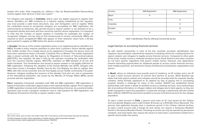<span id="page-9-0"></span>people who enter Chile irregularly (i.e. without a *Visa de Responsabilidad Democrática*) cannot register their devices in their own name.<sup>19</sup>

For refugees and migrants in **Colombia**, where users are legally required to register their device identifiers (i.e. IMEI numbers) on a national registry established by the regulator, one must provide a valid travel document, visa, and immigration card to register. While the credentials issued to recognized refugees are acceptable for IMEI registration, the *salvoconducto* (a temporary stay permit) issued to asylum seekers is not deemed to be a recognized identity document and thus cannot be used for device registration. It is important to note that the number of asylum seekers in Colombia far outweighs the number of recognized refugees, forcing many to find workarounds to access connectivity. MNOs are required to block unregistered IMEIs that appear on their networks. Users have a 20-day grace period to register an IMEI before the device is blocked.

In **Ecuador**, the focus of the mobile registration policy is on registering device identifiers (i.e. IMEIs). Ecuador's policy requires operators to store each customer's device identity against their mobile number. For a mobile device to be registered in Ecuador, the device must not have been reported as stolen in Ecuador, Colombia, Peru or Bolivia.<sup>20</sup> No mobile registration data is stored centrally with the Agency for Regulation & Control of Telecommunications (ARCOTEL), the regulator. All data is held by the operator, including the verification data from the country's identity registry. ARCOTEL maintains an IMEI blacklist of all lost and stolen handsets. The humanitarian visa issued to asylum seekers is not legally sufficient for IMEI registration. Following the adoption of the Human Mobility Law (2017), refugees who have been issued a Foreigner Identity Card by the Civil Registry are able to register their IMEIs with their service provider and can thus legally access mobile connectivity in Ecuador. However, refugees awaiting the issuance of the Identity Card who are only in possession of the international protection visa issued by the Ministry of Foreign Affairs (MFA) cannot proceed with the registration.

**Peru**'s legislative framework mandates both SIM and IMEI registration. SIM registration is based on biometric verification against data on the national identity register. Peru's approach to IMEI registration involves both whitelisting and blacklisting of devices. As a practical matter, operators only accept a foreigner residence card or valid passport for SIM registration, not Temporary Permanence Permits or asylum seekers cards.

| Country  | <b>SIM Registration</b> | <b>IMEI Registration</b> |
|----------|-------------------------|--------------------------|
| Brazil   | X                       |                          |
| Chile    |                         | X                        |
| Colombia |                         | X                        |
| Ecuador  |                         | Χ                        |
| Peru     | X                       | X                        |

*Table 1: Identification Policies affecting Connectivity Access*

#### Legal barriers to accessing financial services

As with mobile connectivity, in each of the five countries surveyed, identification and migratory documentation requirements imposed on banking clients are creating barriers for asylum seekers and refugees to legally access financial services. Compared to other parts of the world, mobile money is relatively immature across South America and many countries do not have specific regulations that govern mobile money. However, new applications present interesting opportunities for displaced people to access certain financial services, most notably payments, and should be closely monitored by humanitarian organizations and donors.

In **Brazil**, where an individual must provide proof of residency, an ID number and a tax ID to open a bank account, persons of concern face barriers to access. While Brazilian law states that both asylum seekers and refugees should be provided with the requisite identity numbers, being formally registered to an address by way of paying rent or purchasing property remains a challenge for many. In this context, UNHCR has established formal partnerships with banks in Brazil to facilitate access to banking services. Such partnerships aim at providing information on refugee matters and refugee law to bank agents, so they are better equipped to assist this population. In particular, through a partnership with the Central Bank of Brazil, UNHCR has launched a booklet on access to financial services for the refugee population.

To open a bank account in **Chile**, a person must have an ID card issued by the Chilean Civil and Identity Registry and a valid Chilean ID known as a RUN (*Rol Único Nacional*). This ensures that applicants already have a residence permit in the Chilean national territory. To open a bank account with a foreign ID card, banks can require a Temporary Resident Permit or Permanent Resident Permit. Checking accounts can only be opened by permanent residents, and most banks also require the person to have been a permanent resident for a specific period (often five years).

<sup>19</sup> In some cases, such as when one enters Chile with a new device, proof of purchase may also be required.

<sup>20</sup> Telecompaper. Ecuador starts registration of mobile phones: [https://www.telecompaper.](https://www.telecompaper.com/news/ecuador-starts-registration-of-mobile-phones--1002253) [com/news/ecuador-starts-registration-of-mobile-phones--1002253](https://www.telecompaper.com/news/ecuador-starts-registration-of-mobile-phones--1002253)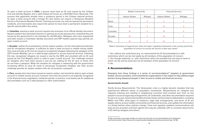<span id="page-10-0"></span>To open a bank account in **Chile**, a person must have an ID card issued by the Chilean Civil and Identity Registry and a valid Chilean ID known as a RUN (Rol Único Nacional). This ensures that applicants already have a residence permit in the Chilean national territory. To open a bank account with a foreign ID card, banks can require a Temporary Resident Permit or Permanent Resident Permit. Checking accounts can only be opened by permanent residents, and most banks also require the person to have been a permanent resident for a specific period (often five years).

In **Colombia**, opening a bank account requires the provision of an official identity document. Asylum seekers face persistent barriers in opening accounts because the credential they are issued by the government is not intended for identification. Refugees who have regularized and been issued a Colombian identity document and PEP holders (special stay permit) can open a bank account.

In **Ecuador**, neither the humanitarian visa for asylum seekers, nor the international protection visa for recognized refugees, is sufficient to open a bank account or mobile money wallet. One must provide an ID card as issued to recognized refugees following the adoption of the 2017 Human Mobility Law or a valid foreign passport to access financial services. Following this law, recognized refugees are issued a visa by the MFA and provided with an ID card issued by the Civil Registry which is valid to open a bank account. The challenge remains for refugees who have been issued a visa but are waiting for the ID card, or those who do not have a passport. While the situation for refugees is advancing with the government increasing efforts to issue ID cards to previously recognized refugees, the main access challenge persists for asylum seekers who do not possess a passport.

In **Peru**, people who have been issued an asylum seeker card should be able to open a bank account or mobile money account, however since this document is not explicitly recognized in the financial sector regulations, obstacles persist. In practice, most banks ask for additional documentation such as a valid passport or other authorization.

|               | <b>Mobile Connectivity</b> |         | <b>Financial Services</b> |         |
|---------------|----------------------------|---------|---------------------------|---------|
|               | Asylum Seeker              | Refugee | Asylum Seeker             | Refugee |
| <b>Brazil</b> | S                          | S       | S                         | S       |
| Chile         | N                          | S       | N                         | S       |
| Colombia      | N                          | S       | N                         | S       |
| Ecuador       | N                          | S       | N                         | S       |
| Peru          | N                          | S       | N                         |         |

*Table 2: Summary of Legal Access: Does the legal / regulatory framework in the country permit the population of concern to access the service in their own name?* 

Y: Yes, without any restrictions (e.g. no requirements for ID documentation) or with restrictions which can be met easily by all members of the population of concern S: Yes, though seldomly; i.e., with restrictions which are possible but not easy to meet or which can be met by some but not all members of the population of concern N: No

#### **4. Recommendations**

Emerging from these findings is a series of recommendations<sup>21</sup> targeted at government bodies, service providers, and humanitarian organizations in the region to help address legal barriers facing displaced people in their access to mobile and financial services.

#### **Governments should:**

*Clarify Access Requirements:* The Venezuelan crisis is a highly dynamic situation that has experienced different waves of population movements. Requirements for refugees and migrants entering and residing in neighboring countries have evolved over time; so has people's access to legal stay arrangements, ID credentials, and other documentation required for service access. Government bodies should clearly communicate to stakeholders, including MNOs and FSPs, what types of residence, legal stay arrangements, and forms of ID are legally valid to access mobile connectivity and financial services, and update this information in a timely fashion when policies change. Clear and regularly updated communications will help service providers and their agents who may be unfamiliar with or uncertain about forms of ID held by refugees and others.

<sup>21</sup> We would also encourage readers to review the full suite of recommendations from Displaced and Disconnected:<https://www.unhcr.org/innovation/displaced-and-disconnected/>(pp. 32-36)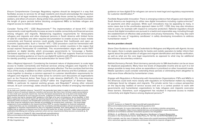*Ensure Comprehensive Coverage:* Regulatory regimes should be designed in a way that facilitates access to services for all legal residents and should acknowledge the respective credentials of all legal residents accordingly, specifically those carried by refugees, asylum seekers, and others of concern. Along similar lines, government authorities should reconsider the length of grace periods before blocking unregistered IMEIs to facilitate refugee and migrant access to mobile connectivity.

*Consider Tiering KYC / CDD Requirements:22* The implementation of tiered KYC / CDD requirements could significantly increase access to mobile connectivity and financial services among refugees and migrants. Rebalancing regulatory requirements for Venezuelans refugees and migrants and other displaced persons in South America with limited forms of valid ID credentials and other required documentation to enable access to basic mobile connectivity and financial services could greatly improve their livelihoods and open up economic opportunities. Such a 'low-tier' KYC / CDD procedure could be harmonized with the relaxed entry and visa processing requirements in certain countries in the region that accept expired Venezuelan ID credentials. This recommendation aligns with recent FATF guidance on digital identity, which encourages governments to "encourage a flexible, risk-based approach to using digital ID systems for CDD that supports financial inclusion. Consider providing guidance on how to use digital ID systems with different assurance levels for identity proofing / enrolment and authentication for tiered CDD."23

*Take a Regional Approach:* Considering the transient nature of displacement, to scale legal access to mobile connectivity and financial services among refugees and migrants in the region, a harmonized approach could be particularly effective. The five countries that form the focus of this study, in addition to other countries from Latin America and the Caribbean, could come together to develop a common approach to customer identification requirements for refugees and migrants. It would make sense to convene such discussions at organizations such as the Financial Action Task Force of Latin America (GAFILAT), ITU, Inter-American Telecommunications Commission (CITEL)<sup>24</sup> within the Organization of American States, GSMA, in particular its regional working groups, and Regulatel,<sup>25</sup> among other relevant venues. At such convenings, states should be particularly mindful of emerging international

guidance on how digital ID for refugees can serve to meet legal and regulatory requirements for customer identification.26

*Facilitate Responsible Innovation:* There is emerging evidence that refugees and migrants in South America are beginning to utilize new digital innovations including cryptocurrencies<sup>27</sup> for payments and other purposes. While such innovations may be appealing to many, in some cases due to the unorthodox approach taken to KYC / CDD, they may also introduce risks to users, for example with respect to consumer protection. National regulators should ensure that digital innovations are pursued in a lawful and responsible way, including through the establishment of effective data protection and privacy frameworks. They may also want to explore the use of 'regulatory sandboxes' in safely developing innovations to address humanitarian needs.28

#### **Service providers should:**

*Share Clear Guidance on Identity Credentials for Refugees and Migrants with Agents:* Across the region, there is ample opportunity for banks and mobile operators to better inform their agents about the particularities of refugee and migrant identification and identity verification, as well as what are the core legal requirements as opposed to what may be additional discretionary documentary evidence.

*Rethink Dormancy Periods:* Short dormancy periods prior to SIM deactivation can be an issue for displaced populations. Many have low levels of disposable income and as such it is not always possible to keep lines active as expenditure is prioritized on other household needs. Mobile operators could consider extending these periods or eliminating them altogether to help serve those affected by humanitarian crises.

*Engage with Regulators in Partnership with Humanitarian Organizations:* FSPs and MNOs in the Americas could work more closely with regulators on humanitarian matters by relaying challenges faced by refugees and migrants. The private sector has a unique perspective on the day-to-day realities of service access and are in a central position to work with governments and humanitarian organizations to help refugees and migrants overcome these barriers. Elsewhere, such engagement has resulted in improved access to mobile connectivity and digital finance among displaced persons.29

<sup>22</sup> As Gelb and Castrillon observe, "tiered KYC has generally been taken to apply to smaller-value accounts, limited in terms of maximum balances, transfers and services. But there have not been explicit prescriptions on how small such accounts need to be, how the risk-based assessments are to be done and exactly what requirements should be for such low-risk accounts. Judgment on these issues is left to country regulators. Each country has had to interpret FATF guidance in the light of its own circumstances. As an example, in 2011 Mexico approved a four-tiered regime for opening deposit accounts at credit institutions. As levels advanced, transaction limits increased, and simplification processes were reduced. However, within countries, banks and other financial institutions have ultimate accountability for knowing their customers. This three-stage assignment of accountability to the lowest level (from FATF to country regulators to financial institutions) -- means that there can be considerable room for uncertainty and that providers will not necessarily act on suggestions to minimize requirements for fear of a regulatory backlash. And, taking Mexico as an example, it is notable that an address is required even for the second lowest tier of basic accounts." https://www.cgdev.org/ publication/identifying-and-verifying-customers-when-are-kyc-requirements-likely-become-constraints (p. 5)

<sup>23</sup> FATF. Guidance on Digital ID: [http://www.fatf-gafi.org/publications/](http://www.fatf-gafi.org/publications/fatfrecommendations/documents/digital-identity-guidance.html) [fatfrecommendations/documents/digital-identity-guidance.html](http://www.fatf-gafi.org/publications/fatfrecommendations/documents/digital-identity-guidance.html) (p. 11)

<sup>24</sup><https://www.citel.oas.org/>

<sup>25</sup> <http://regulatel.org/>

<sup>26</sup> FATF. Guidance on Digital ID: [http://www.fatf-gafi.org/publications/](http://www.fatf-gafi.org/publications/fatfrecommendations/documents/digital-identity-guidance.html) [fatfrecommendations/documents/digital-identity-guidance.html](http://www.fatf-gafi.org/publications/fatfrecommendations/documents/digital-identity-guidance.html)

<sup>27</sup> See, for example: Un nuevo intercambio de Bitcoin en la frontera colombo-venezolana ayudará a los refugiados: [https://www.criptotendencias.com/actualidad/un-nuevo-intercambio](https://www.criptotendencias.com/actualidad/un-nuevo-intercambio-de-bitcoin-en-la-frontera-colombo-venezolana-ayudara-a-los-refugiados/)[de-bitcoin-en-la-frontera-colombo-venezolana-ayudara-a-los-refugiados/](https://www.criptotendencias.com/actualidad/un-nuevo-intercambio-de-bitcoin-en-la-frontera-colombo-venezolana-ayudara-a-los-refugiados/)

<sup>28</sup> Martin, A. and Balestra, G. (2019), Using Regulatory Sandboxes to Support Responsible Innovation in the Humanitarian Sector. Global Policy, 10: 733-736. doi:10.1111/1758-5899.12729

<sup>29</sup> For example, see the case of Uganda: [https://www.unhcr.org/afr/news/press/2019/8/5d5ba4274/](https://www.unhcr.org/afr/news/press/2019/8/5d5ba4274/unhcr-welcomes-uganda-communications-commission-directive-to-improve-refugees.html) [unhcr-welcomes-uganda-communications-commission-directive-to-improve-refugees.html](https://www.unhcr.org/afr/news/press/2019/8/5d5ba4274/unhcr-welcomes-uganda-communications-commission-directive-to-improve-refugees.html)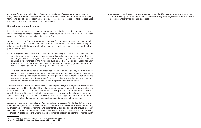*Leverage Regional Footprints to Support Humanitarian Access:* Given operators have in many cases a regional presence, it would be pertinent to examine the potential for adapting terms and conditions for roaming to facilitate cross-border access for forcibly displaced populations who are customers from other markets.

#### **Humanitarian organizations should:**

In addition to the overall recommendations for humanitarian organizations covered in the initial *Displaced and Disconnected* report<sup>30</sup> which could be mirrored in the South American context, the following actions have been identified:

*Jointly promote digital and financial inclusion for persons of concern*: Humanitarian organizations should continue working together with service providers, civil society, and other relevant institutions at regional and national levels to achieve conducive legal and policy environments.

- At a regional level, UNHCR and other humanitarian organizations could liaise with civil society organizations to give a voice in a coordinated manner to the specific ID-related challenges faced by refugees and migrants in accessing connectivity and financial services in relevant fora in the Americas, such as CITEL, ITU Regional Group for Latin American and the Caribbean, Regulatel, GSMA regional working groups, GAFILAT and Latin American Federation of Banks (FELABAN), among others.
- At a national level, humanitarian organizations, through inter-agency working groups, are in a position to engage with telecommunications and financial regulatory institutions to encourage policy changes aimed at recognizing specific needs of refugees and migrants in national legal frameworks. This would ultimately enable a more efficient and safer humanitarian response in view of the progressive digitization of aid.

*Sensitize service providers about access challenges facing the displaced:* UNHCR and organizations working directly with displaced persons could engage in a more systematic manner with financial institutions and mobile service providers to communicate about the specific forms of ID used by affected populations in the region to achieve a harmonized application of regulations in place. They should also encourage them to adapt their existing services and internal guidance to include refugees and migrants in their design.

*Advocate to expedite registration and documentation processes*: UNHCR and other relevant humanitarian agencies should continue liaising with local institutions responsible for providing ID credentials to refugees, migrants, and other forcibly displaced people to ensure a prompt issuance of identity documentation to facilitate their digital and financial inclusion in hosting countries. In those contexts where the governmental capacity is stretched, humanitarian

organizations could support existing registry and identity mechanisms and / or pursue discussions with government authorities to reconsider adjusting legal requirements in place to access connectivity and banking services.

<sup>30</sup> UNHCR. Displaced and Disconnected https://www.unhcr.org/innovation/wpcontent/uploads/2019/04/Displaced-Disconnected-WEB.pdf (pp. 34-36)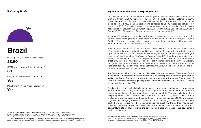#### <span id="page-13-0"></span>**5. Country Briefs**

## 

## **Brazil**

ITU Regulatory Tracker<sup>31</sup> Overall Score:

**88.50**

GSMA Mobile Money Regulatory Index:32

**88**

Party to the 1951 Refugee Convention:

**Yes**

Data Protection and Privacy Legislation:

**Yes**

As of December 2019, the main recognized refugee populations in Brazil were Venezuelan (20,912), Syrian (3,650), Congolese [Democratic Republic] (1,223), Colombian (829), Palestinian (486), and Pakistan (321). As of November 2019, the backlog of asylum claims stood at some 219,103 pending applications compared to 31,482 recognized refugees by the end of 2019. The asylum seeker populations were composed mainly of the following nationalities: Venezuelan (129,988), Haitian (26,876), Cuban (9,793), Senegalese (6,029), and Bengali (5,092). The profiles of these persons of concern vary greatly.<sup>33</sup>

In terms of location, asylum seeker and refugee populations are spread throughout the country, concentrating mainly in urban areas such as São Paulo, Rio de Janeiro, Brasília, and Curitiba. Venezuelan asylum seekers mainly enter through the land border of Roraima state, Northern Brazil, where most are concentrated.

Many of these persons of concern will arrive in Brazil with ID credentials from their country of origin, including passports, birth certificates, national IDs, and voter registration cards. Upon arrival to Brazil, asylum seekers receive an asylum seeker certificate (proof of refugee registration), tax ID numbers (*Cadastro de Pessoa Física* [CPFs]), and a work permit. As per Federal Decree No. 9277/18, upon requesting asylum, asylum seekers should receive a proof of ID called a Provisional Document of the National Migration Registry. In addition, recognized refugees are issued an ID credential, formerly known as the RNE (National Foreigner Registry, *Registro Nacional de Estrangeiros*) Card, which has been renamed to the *Carteira de Registro Nacional Migratorio*.

The Government of Brazil is fully responsible for issuing these documents. The Federal Police is the national migratory authority in Brazil and is legally responsible for issuing the asylum seeker certificate, ID card, and travel documents to recognized refugees. The Ministry of Labour is responsible for issuing work permits (*carteira de trabalho*). The Ministry of Treasury is responsible for issuing CPFs.

Proof of address is a constant challenge for those living in irregular settlements in urban areas where formal rent is rarely attained given the high price of accommodation and extensive requirements (documents and guarantors). In the context of the Venezuela situation, where temporary shelters have been established in the state of Roraima, Northern Brazil, it is a challenge to provide proof of address for those living in such shelters UNHCR and partner organizations managing the shelters have issued letters ensuring proof of address, but some banks have also asked for other documents such as proof that the partner NGO is duly managing the shelter, electricity / water bills of the shelter under the name of UNHCR or partner NGO, etc. UNHCR is working to advocate and raise awareness of the issue among banking institutions.

<sup>31</sup> The ITU Regulatory Tracker is an evidence-based tool to help decision makers and regulators make sense of the rapid evolution of ICT regulation. It helps track progress and identify gaps in regulatory frameworks, making the case for further regulatory reform.

<sup>32</sup> The GSMA Mobile Money Regulatory Index provides a quantitative assessment of the extent to which national regulation has been effective in establishing enabling regulatory environments for mobile money.

<sup>33</sup> CONARE and Federal Police: Refúgio em Números Publicações: https://www. justica.gov.br/seus-direitos/refugio/refugio-em-numeros and http://www.pf.gov.br/ servicos-pf/imigracao/Apresentao\_Novembro\_2019\_VFinal\_RETIFICADA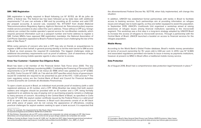#### **SIM / IMEI Registration**

SIM registration is legally required in Brazil following *Lei Nº 10.703, de 18 de julho de 2003*, a federal law. The federal law has been followed up by state laws with additional requirements.34 A user can activate a SIM card by providing an ID number and valid CPF (for prepaid accounts). A second rule, resolution No. 477/2007 from Anatel (National Telecommunications Regulatory Agency, *Agência Nacional de Telecomunicações*) requires mobile service providers to also collect the user's address. Those without a CPF (e.g. foreign visitors) can contact the mobile operator's special service for non-Brazilian residents, which requires personal information such as a passport number and home address to register a SIM. Certain MNOs have opposed SIM registration mandates: the National Association of Cell Phone Operators appealed to Brazil's Federal Supreme Court challenging the law of the state of São Paulo.<sup>35</sup>

While some persons of concern who lack a CPF may rely on friends or acquaintances to register a SIM on their behalf, in general proving identity is not the main barrier to SIM access in Brazil as most possess the required ID credentials. The biggest challenges relate to additional documentary requirements such as proof of address. Lack of awareness of legal requirements among mobile operator agents is also a barrier to access.

#### **Know Your Customer / Customer Due Diligence Rules**

Brazil has been a full member of the Financial Action Task Force since 2000. The key regulation driving Anti Money Laundering (AML) / Combating the Financing of Terrorism (CFT) requirements is *Lei Nº 9.613, de 3 de março de 1998*; which was updated by *Lei Nº 12.683, de 2012*. *Carta Circular Nº 3.813, de 7 de abril de 2017* specifies which forms of governmentissued ID credential are required to be presented as part of the KYC  $/$  CDD process.<sup>36</sup> The main regulatory actors are the Central Bank of Brazil and Council for Financial Activities Control (*Conselho de Controle de Atividades Financeiras*).

To open a bank account in Brazil, an individual must provide proof of residency (with a valid registered address), an ID number, and a CPF. While Brazilian law states that both asylum seekers and refugees should be provided with an ID number and a CPF, being formally registered to an address by way of paying rent or purchasing property remains a challenge to many persons of concern. According to the Central Bank of Brazil, as specified in *Carta Circular Nº 3.813*, the asylum seeker certificate issued by the Federal Police is a valid proof of ID to open a bank account. However, in Brazil such documents consist of an A4 black and white piece of paper, and do not convey the appearance of officialness, creating practical challenges for asylum seekers seeking to open a bank account. It is expected that the aforementioned Federal Decree No. 9277/18, when fully implemented, will change this situation.

In addition, UNHCR has established formal partnerships with banks in Brazil to facilitate access to banking services. Such partnerships aim at providing information on refugee issues and refugee law to bank agents, so they are better equipped to assist this population. In September 2019, UNHCR's Livelihoods Unit organized a workshop aimed at raising awareness of refugee issues among financial institutions operating in the microcredit segment. This workshop was a first step in a long-term strategy adopted by UNHCR Brazil to increase the access of refugees to microcredit services. Through a partnership with the Central Bank of Brazil, UNHCR launched a booklet on access to financial services for the refugee population.

#### **Mobile Money**

According to the World Bank's Global Findex database, Brazil's mobile money penetration (in terms of account ownership for  $15+$  years old) is 4.84 per cent. In 2013, Law  $N^{\circ}$  12.865 and associated regulations permitted non-banks to issue e-money as payments institutions, however at present no MNO in Brazil offers a traditional mobile money service.

#### **Data Protection**

As of August 2018, Brazil had a comprehensive data protection legal framework in place.<sup>37</sup>

<sup>34</sup> See, for example, the requirements for São Paulo: [https://www.al.sp.gov.](https://www.al.sp.gov.br/repositorio/legislacao/lei/2016/lei-16269-05.07.2016.html) [br/repositorio/legislacao/lei/2016/lei-16269-05.07.2016.html](https://www.al.sp.gov.br/repositorio/legislacao/lei/2016/lei-16269-05.07.2016.html)

<sup>35</sup> Tele.Síntese. Operadoras vão ao STF contra cadastro de comprador de celular pré-pago em SP: http://www. telesintese.com.br/operadoras-vao-ao-stf-contra-lei-de-sp-que-obriga-cadastro-de-comprador-de-celular/

<sup>36</sup> Banco Central do Brasil. Carta Circular Nº 3.813, de 7 de Abril de 2017: [https://www.bcb.gov.br/pre/normativos/](https://www.bcb.gov.br/pre/normativos/busca/downloadNormativo.asp?arquivo=/Lists/Normativos/Attachments/50360/C_Circ_3813_v1_O.pdf) [busca/downloadNormativo.asp?arquivo=/Lists/Normativos/Attachments/50360/C\\_Circ\\_3813\\_v1\\_O.pdf](https://www.bcb.gov.br/pre/normativos/busca/downloadNormativo.asp?arquivo=/Lists/Normativos/Attachments/50360/C_Circ_3813_v1_O.pdf)

<sup>37</sup> Covington. Brazil's New General Data Privacy Law Follows GDPR Provisions: [https://www.](https://www.insideprivacy.com/international/brazils-new-general-data-privacy-law-follows-gdpr-provisions/) [insideprivacy.com/international/brazils-new-general-data-privacy-law-follows-gdpr-provisions/](https://www.insideprivacy.com/international/brazils-new-general-data-privacy-law-follows-gdpr-provisions/)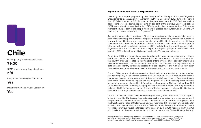## <span id="page-15-0"></span>**Chile**

ITU Regulatory Tracker Overall Score:

**79.00**

GSMA Mobile Money Regulatory Index:

**n/d**

Party to the 1951 Refugee Convention:

**Yes**

Data Protection and Privacy Legislation:

**Yes**

#### **Registration and Identification of Displaced Persons**

According to a report prepared by the Department of Foreign Affairs and Migration (*Departamento de Extranjería y Migración* [DEM]) in December 2019, during the period from 2010-2019, a total of 15,925 asylum applications were made. In 2019, 780 new asylum applications were registered, representing 14 per cent of the previous year's applications (5727 new applications were filed during 2018). Regarding the countries of origin, Colombians represent 44.2 per cent of the people who have requested asylum, followed by Cubans (29 per cent) and Venezuelans with (21.5 per cent).<sup>38</sup>

Among the Venezuelan population in Chile, a large portion only has a Venezuelan identity card. Within that group, the number of people with passports issued by Venezuelan authorities is lower. It should be taken into account that, due to the difficulties in renewing and obtaining documents in the Bolivarian Republic of Venezuela, there is a substantial number of people with expired identity cards and passports, which inhibits them from applying for regular migration status in Chile. Visas can be stamped into expired passports which have been issued in 2013 or later, though this is only possible for Venezuelan nationals.

As of June 2019, new regulations were introduced for Venezuelan nationals: only those that have obtained a Democratic Responsibility Visa or a consular tourist visa can enter the country. This has resulted in many people entering the country irregularly after being rejected at the border. The Colombian population in Chile does not face major obstacles in obtaining valid identity cards and passports from their country of origin. Migrants from other nationalities also generally do not have problems obtaining such identity documents.

Once in Chile, people who have regularized their immigration status in the country, whether through temporary residence visa, contract work visa, student visa, or those who already have permanent resident status (regardless of their nationality), are issued a foreign residence card by the Civil and Identity Registry of Chile (*Registro Civil e Identificación*). This document includes the person's biographical information, a photograph, a National Unique Role (*Rol Único Nacional* [RUN]) number, a fingerprint, and verification codes. The only difference between this ID for foreigners and the ID cards of Chilean nationals is a legend that indicates the holder is a foreign national and their current type of residence permit.

As noted above, the Chilean institution in charge of issuing identity documents for foreigners is the Civil and Identity Registry. Application is possible after obtaining a residence permit. If the person's visa was stamped at a Chilean Consulate abroad, it needs to be registered with the Investigations Police of Chile (*Policía de Investigaciones* [PDI]) and then an application for a foreign identity card may be made at the Civil and Identity Registry. If the visa application was made in Chile, it must be stamped in the passport by the DEM, registered with the PDI and, finally, an application for an identity card may be made at the Civil and Identity Registry.

<sup>38</sup> Departamento de Extranjería y Migración. Minuta Refugio en Chile: [https://www.extranjeria.gob.cl/](https://www.extranjeria.gob.cl/media/2020/03/Minuta_Refugio.pdf) [media/2020/03/Minuta\\_Refugio.pdf](https://www.extranjeria.gob.cl/media/2020/03/Minuta_Refugio.pdf) (cached version here: [https://webcache.googleusercontent.com/](https://webcache.googleusercontent.com/search?q=cache:3J4c15lrIboJ:https://www.extranjeria.gob.cl/media/2020/03/Minuta_Refugio.pdf) [search?q=cache:3J4c15lrIboJ:https://www.extranjeria.gob.cl/media/2020/03/Minuta\\_Refugio.pdf](https://webcache.googleusercontent.com/search?q=cache:3J4c15lrIboJ:https://www.extranjeria.gob.cl/media/2020/03/Minuta_Refugio.pdf) )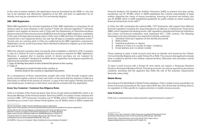In the case of asylum seekers, the application must be formalized by the DEM, i.e. the visa has to be stamped and afterwards registered at the PDI, and then an application for an identity card may be submitted to the Civil and Identity Registry.

#### **SIM / IMEI Registration**

While SIM registration has not been legislated in Chile, IMEI registration is compulsory for all devices used on local networks in the country.<sup>39</sup> Under the relevant legislation,<sup>40</sup> domestic retailers must register all devices sold in Chile with the Department of Telecommunications (*Subsecretaria de Telecomunicaciones* [SUBTEL]), thus forming an IMEI registry (i.e. a whitelist). In the case of foreign devices being used in Chile, once a SIM card from a Chilean operator is inserted into a non-registered device, the user has 30 days to complete registration online.<sup>41</sup> Tourists who are roaming while in Chile are unaffected by the IMEI registration requirement. Registration can be proof of purchase. Each individual is allowed to register up to one device per year for free.

While the relevant resolution does not specify what constitutes a valid form of ID, in practice a copy of a Chilean ID card or passport (from any country) is required for IMEI registration. Moreover, it appears that in practice proofs of device purchase are not required for registration. A website<sup>42</sup> designed to facilitate device registration by foreigners specifies the following documentary requirements:

1. Copy of identity document of who entered the phone to the country 2. Copy of

a) Passport or proof of entry to the country, or

b) Entry ticket to the country or equivalent document.

As a consequence of these requirements, people who enter Chile through irregular entry points cannot register a device in their own name. In the event that the request is made by a third party on behalf of the person of concern, a copy of the third party's identity document and simple power of attorney in their favor must also be included with the application.

#### **Know Your Customer / Customer Due Diligence Rules**

Chile is a member of the Financial Action Task Force of Latin America (GAFILAT), which is an Associate Member of the Financial Action Task Force (FATF). A number of laws comprise the country's AML / CFT framework, including: *Ley N° 19.366*, which in 1996 incorporated money laundering as a crime in the Chilean Penal System; *Ley N° 19.913*, which in 2003 created the

42 SUBTEL: If you are a foreigner:<https://multibanda.cl/soy-extranjero-foreigner/>

Financial Analysis Unit (*Unidad de Análisis Financiero* [UAF]) to prevent and stop money laundering; Ley  $N^{\circ}$  20.393, which in 2009 established the criminal responsibility of legal entities regarding the crimes of money laundering, financing of terrorism and bribery; and *Ley N° 20.818*, which in 2015 established guidelines for public entities to report suspicious financial transactions to the UAF.43

In Chile, the UAF coordinates the national AML / CFT framework, with support from different financial regulators including the *Superintendencia de Bancos e Instituciones Financieras* (SBIF), which regulates the banking sector. UAF regulations stipulate that financial institutions and certain non-financial institutions must implement KYC / CDD controls. The following information and documentation are required to identify customers:

- 1. Individual name (as it appears on the identity document)
- 2. RUN number
- 3. Individual profession or degree
- 4. Address in Chile or in country of origin / residency
- 5. E-mail address and / or phone number

Those seeking to open a bank account must have an identity card issued by the Chilean Civil and Identity Registry and a valid Chilean ID or RUN. This ensures that applicants already have a residence permit in the Chilean national territory. Otherwise, this procedure cannot be completed.

To open a bank account with a foreign ID card, banks can require a Temporary Resident Permit or Permanent Resident Permit. Checking accounts can only be opened by permanent residents, providing that the applicant also fulfils the rest of the business requirements (basically, salary slips).

#### **Mobile Money**

According to the World Bank's Global Findex database, Chile's mobile money penetration (in terms of account ownership for 15+ years old) is 18.67 per cent. At the time of writing, there is no regulation in Chile specific to cryptocurrencies or mobile money accounts.

#### **Data Protection**

Chile has a comprehensive data protection legal framework in place.<sup>44</sup>

<sup>39</sup> CommsUpdate. Subtel extends deadline for device registration: <https://www.commsupdate.com/articles/2019/01/09/subtel-extends-deadline-for-device-registration/>

<sup>40</sup> Fija Norma Técnica Que Regula Las Especificaciones Técnicas Mínimas Que Deberán Cumplir Los Equipos Terminales Utilizados En Las Redes Móviles: <https://www.leychile.cl/Navegar?idNorma=1091663&idVersion=2018-07-01>

<sup>41</sup> Subsecretaria de Telecomunicaciones. Resolución 1372 Exenta: [https://](https://multibanda.cl/wp-content/uploads/2018/10/18r_1372.pdf) [multibanda.cl/wp-content/uploads/2018/10/18r\\_1372.pdf](https://multibanda.cl/wp-content/uploads/2018/10/18r_1372.pdf)

<sup>43</sup> PWC. Know Your Customer: [https://www.pwc.com/gx/en/financial-services/](https://www.pwc.com/gx/en/financial-services/publications/assets/pwc-anti-money-laundering-2016.pdf) [publications/assets/pwc-anti-money-laundering-2016.pdf](https://www.pwc.com/gx/en/financial-services/publications/assets/pwc-anti-money-laundering-2016.pdf) (pp. 240-246)

<sup>44</sup> DLA Piper: Data Protection Law of the World: Chile: [https://www.](https://www.dlapiperdataprotection.com/index.html?t=law&c=CL) [dlapiperdataprotection.com/index.html?t=law&c=CL](https://www.dlapiperdataprotection.com/index.html?t=law&c=CL)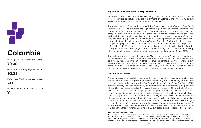# <span id="page-17-0"></span>╋

## **Colombia**

ITU Regulatory Tracker Overall Score:

#### **79.00**

GSMA Mobile Money Regulatory Index:

**90.28**

Party to the 1951 Refugee Convention:

**Yes**

Data Protection and Privacy Legislation:

**Yes**

#### **Registration and Identification of Displaced Persons**

As of March 2020, 1.8M Venezuelans are being hosted in Colombia out of which only 140 were recognized as refugees by the Government of Colombia and over 5,300 asylum seekers are awaiting for a formal decision on their status.<sup>45</sup>

The government of Colombia has created the Special Stay Permit (*Permiso Especial de Permanencia* [PEP]) to regularize the legal status of part of its immigrant population. This permit was aimed at Venezuelans who had entered the country regularly and had their passport stamped at a Colombian port of entry. The PEP grants access to health, education, work and financial services. Application is free, and permits have a duration of 90 days, renewable for equal periods up to a maximum of 2 years. Application and renewal are done through the Colombia Migration (*Migración Colombia*) website. While applicants need a valid passport to apply, the presentation of criminal records from Venezuela is not requested. A different form of PEP has been created for migrants registered in the Administrative Registry of Migrants from Venezuela (*Registro Administrativo de Migrantes de Venezuela* [RAMV]), which is open to people who had entered the country irregularly, before 8 June 2018.

The Colombian Government, through the Ministry of Foreign Affairs and Migration of Colombia (*Ministerio de Relaciones Exteriores y Migración*), issues machine-readable travel documents, visas and immigration cards for refugees admitted into the country. Asylum seekers are issued only a travel document (*salvoconducto*, SC2) by the *Migración Colombia*  office, which enables them to stay in the country legally for the duration of the refugee status recognition procedure. However, this is not considered a valid identity document.

#### **SIM / IMEI Registration**

SIM registration is not explicitly mandated by law in Colombia. However, Colombia does require mobile users to register their device identifiers (i.e. IMEI numbers) on a national registry established by the regulator *Comisión de Regulación de Comunicaciones* (CRC). This IMEI registry, which is operated by an independent administrator through agreements with mobile service operators, in effect serves the same purpose as SIM registration. *Decreto 1630 de 2011*46 creates a national registry of mobile phones to include IMEIs of stolen or lost devices both in Colombia and abroad (i.e. a blacklist), as well as the IMEI of any mobile device that is legally imported or manufactured in the country (i.e. a whitelist). To have their device whitelisted and thus operable in Colombia, users must register their full name, ID information (type and number), address, and telephone number with their mobile operator, which is obliged to verify this information against relevant databases. In order to enforce the government's IMEI registration policy, mobile service providers are required to block unregistered IMEIs that appear on their networks. Users have a 20-day grace period to register an IMEI before

<sup>45</sup> <https://r4v.info/es/situations/platform>

<sup>46</sup> This Decree has been compiled into a broader, single Decree that covers all of the ICT sector: Decreto 1078 de 2015: Decreto Único Reglamentario del Sector de Tecnologías de la Información y las Comunicaciones. The same rules of the 2011 Decree can now be found under Title 11 of the 2015 Decree: Medidas para restringir la operación de equipos terminales hurtados que son utilizados para la prestación de servicios de telecomunicaciones móviles.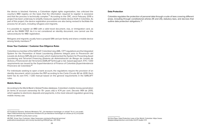the device is blocked. Karisma, a Colombian digital rights organization, has criticized the country's IMEI registry on the basis that the information required to register is excessive and that the process is technically complex.<sup>47</sup> According to the CRC, since February 2019 a project has been underway to simplify measures against mobile device theft in Colombia. As part of this project, the device registration procedures are also being revised to facilitate the process for all users, including refugees and migrants.

It is possible to register an IMEI with a valid travel document, visa, or immigration card, as well as the RAMV PEP. As it is not considered an identity document, one cannot use the salvoconducto for IMEI registration.

Refugees and migrants usually have a prepaid SIM card per family and share a mobile device among family members.48

#### **Know Your Customer / Customer Due Diligence Rules**

Colombia is a member of the GAFILAT. Colombia's key AML / CFT regulations are the Integrated System for the Prevention of Asset Laundering (*Sistema Integral para la Prevención del Lavado de Activos* [SIPLA]) and circulars which implemented the System for Preventing Asset Laundering and Terrorism Financing (*Sistema de Administración de Riesgo de Lavado de Activos y Financiación del Terrorismo* [SARLAFT]) through a risk- based approach. KYC / CDD requirements are issued by the Superintendence of Finance of Colombia (*Superintendencia Financiera de Colombia*).49

For individuals seeking to open a bank account, the regulations require the provision of an identity document, which includes the PEP according to the *Carta Circular 82 de 2019*. Each bank has its own KYC / CDD manual based on the general requirements in the SARLAFT rules.

#### **Mobile Money**

According to the World Bank's Global Findex database, Colombia's mobile money penetration (in terms of account ownership for 15+ years old) is 4.74 per cent. *Decreto 1491 de 2015*, which applies to electronic deposits and payments, is the most relevant regulation governing mobile money use.

#### **Data Protection**

Colombia regulates the protection of personal data through a suite of laws covering different areas, including through constitutional articles (15 and 20), statutory laws, and decrees that outline data protection obligations.. 50

<sup>47</sup> Fundacion Karisma. Señores Ministerio TIC: ¿Ya intentaron homologar un celular? Yo sí y ¡no pude!: <https://stats.karisma.org.co/senores-ministerio-tic-ya-intentaron-homologar-un-celular-yo-si-y-no-pude/>

<sup>48</sup> Internal UNHCR country team survey

<sup>49</sup> PWC. Know Your Customer: [https://www.pwc.com/gx/en/financial-services/](https://www.pwc.com/gx/en/financial-services/publications/assets/pwc-anti-money-laundering-2016.pdf) [publications/assets/pwc-anti-money-laundering-2016.pdf](https://www.pwc.com/gx/en/financial-services/publications/assets/pwc-anti-money-laundering-2016.pdf) (pp. 247-252)

<sup>50</sup> DLA Piper. Data Protection Laws of the World: Colombia: [https://www.](https://www.dlapiperdataprotection.com/index.html?t=law&c=CO) [dlapiperdataprotection.com/index.html?t=law&c=CO](https://www.dlapiperdataprotection.com/index.html?t=law&c=CO)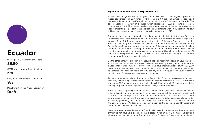<span id="page-19-0"></span>

## **Ecuador**

ITU Regulatory Tracker Overall Score:

**85.50**

GSMA Mobile Money Regulatory Index:

**n/d**

Party to the 1951 Refugee Convention:

**Yes**

Data Protection and Privacy Legislation:

**Draft**

#### **Registration and Identification of Displaced Persons**

Ecuador has recognized 69,315 refugees since 1989, which is the largest population of recognized refugees in Latin America. At the end of 2019, the total number of recognized refugees in Ecuador was 68,784 - 97 per cent of which were Colombians. In 2019, 20,896 people applied for asylum in Ecuador, which represents a 22.4 per cent increase in comparison to 2018. Most asylum seekers were Venezuelans for the second consecutive year, representing 74 per cent of the applications. Colombians, with 5,008 applications, saw a 5.1 per cent decrease in asylum applications in comparison to 2018.

Regarding the situation in Colombia, it is important to highlight that, for over 30 years Colombians have been forced to flee their country due to armed conflicts. Despite the signing of the 2016 peace agreement between the Colombian Government and the FARC (Revolutionary Armed Forces of Colombia or *Fuerzas Armadas Revolucionarias de Colombia*, the Colombian guerrillas), the number of Colombians seeking international asylum has increased. In 2018, the security of the Ecuador-Colombia border deteriorated. Criminal organizations operating in the area caused an increase of Colombian asylum seekers (+11 per cent, as compared to 2017). Risk profiles include children and teenagers, social and community leaders, and displaced families.

On the other hand, the situation in Venezuela has significantly impacted on Ecuador. Since 2016, more than 4.7 million Venezuelans have left their country, making it the largest exodus in Latin American history. 1.7 million of those migrants have entered Ecuador, of which 377,000 Venezuelans have settled in the country. In 2019, approximately 2,000 Venezuelans per day entered Ecuador (with peaks of 6,000 per day) until 26 August, when Ecuador started requiring visas for Venezuelan refugees and migrants.

Amongst those Venezuelans who arrived in 2019, only 25 per cent possessed a passport, drastically limiting the possibility of regularizing their status. According to UNHCR's Protection Monitoring, 45.5 per cent were in an irregular status in Ecuador, while 18 per cent were at risk of being irregular after the expiry of their tourist visa, valid for 180 days.

There are cases, especially in areas close to national borders, in which Colombian nationals arrive in Ecuador without documents (in some cases having lost their papers in transit), and have been able to request a travel document (*contraseña*) at their consulate to be used as a pre-identity document. There are also cases in which Colombian nationals can enter Ecuador by presenting their Colombian identity card and have their Andean Card stamped (the *Tarjeta Andina* or Andean Card is an immigration control document used by citizens of the Andean Community of Nations).

Venezuelans refugees and migrants in Ecuador also have documentation problems, as some of them do not have valid documents (i.e. a passport with at least 6 months of validity and with apostilled criminal records). The decision of the Ecuadorian Government to implement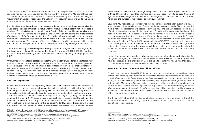a humanitarian visa<sup>51</sup> for Venezuelans where a valid passport and criminal records are required has become an entry barrier into the country. Following the Ministerial Resolution 103-2019 (complementary to Decree No. 826-2019 establishing the humanitarian visa), the Government of Ecuador recognizes the validity of Venezuelan passports up to five years after the expiration date for the purpose of regularization.

People who are registered as asylum seekers in Ecuador receive a humanitarian visa that gives them a regular immigration status until their refugee status determination process is resolved. This visa is issued by the Ministry of Foreign Relations and Human Mobility. In the case of people recognized as refugees by the Commission for Refuge and Statelessness (*Comisión de Refugio y Apatridia*), the Ecuadorian Government will issue a two-year international protection visa through the Ministry of Foreign Affairs and Human Mobility, which is renewable. The issuance of this type of visa also provides immigrants with a set of documentation to be presented at the Civil Registry for obtaining a Foreigner Identity Card.

The Human Mobility Law contemplates the registration of refugees in the Civil Registry and the issuance of national ID documents for them. At the end of 2019, 7,405 IDs had been issued to refugees, reaching a total of 12,973 IDs since the beginning of the project in late 2017.

UNHCR has provided technical assistance to the Civil Registry of Ecuador on the establishment and improvement of procedures for the registration and issuance of IDs to refugees and has contributed to the development and dissemination of relevant information material for refugees. At the end of 2018, UNHCR held meetings with the Ministry of Foreign Relations and Human Mobility to achieve the inclusion of humanitarian visas (granted to asylum seekers) and temporary international protection visas (issued to recognized refugees) in the country's electronic visa system. This was implemented in 2019.

#### **SIM / IMEI Registration**

In Ecuador, where there are reportedly more than 1,000 handset thefts and reported as lost a day,<sup>52</sup> as well as concerns about criminal activity, including hijacking, the focus of the mobile registration policy is on registering IMEIs to specific users and optimizing processes to block lost and stolen handsets. Ecuador introduced mandatory IMEI registration into law in 2009 with a deadline to have all customers registered by July 2012, though implementation continued through 2014.53 Ecuador has a comprehensive national identity scheme (the national ID number is used for passports, driver's licenses and the country's identity card) with registration of a mobile phone verifying a person's identity against this registry. There are provisions to allow foreign nationals to register devices and accordingly for eligible refugees to be able to access services. Although every citizen receives a civil register number from birth, and this number is used for all official documents, citizens have to be over 18 years of age before they can register a phone. Parents can register on behalf of children and there is no limit on the number of registrations an individual can make.

Ecuador's IMEI registration policy requires mobile operators to store each customer's device identity against their mobile number. Consequently, as customers need a SIM to access the mobile network, operators have details of both the IMEI, and the SIM associated with each of their registered customers. Mobile operators in Ecuador will not connect a handset to the network unless the IMEI is registered with the customer's details and identity verification has been received from the civil registry. For a mobile device to be registered in Ecuador, its brand and model have to meet technical requirements established by the regulator, the Agency for Regulation & Control of Telecommunications (ARCOTEL), and the device must not have been reported as stolen in Ecuador, Colombia, Peru or Bolivia.<sup>54</sup> No mobile registration data is stored centrally with the regulator. All data is held by the operator, including the verification data from the registry. ARCOTEL maintains the IMEI blacklist of all lost and stolen handsets.

Neither the humanitarian visa (for asylum seekers), nor the international protection visa (for recognized refugees), is sufficient documentation for IMEI registration. Only refugees who have been issued a Foreigner Identity Card are able to register their IMEIs with their service provider and thus legally access mobile connectivity in Ecuador.

#### **Know Your Customer / Customer Due Diligence Rules**

Ecuador is a member of the GAFILAT. Ecuador's new Law on the Prevention and Eradication of Money Laundering (*Ley Orgánica de Prevención, Detección y Erradicación del Delito de Lavado de Activos y del Financiamiento de Delitos*) was adopted by the country's legislature in July 2016.55 The Monetary and Financial Policy and Regulation Board (*Junta de Política y Regulación Monetaria y Financiera*) is in charge of drafting and directing public policies for the financial sector and issuing financial regulations. The Superintendency of Banks (*Superintendencia de Bancos del Ecuador*), a technical entity, supervises, audits, intervenes in, oversees, and monitors the financial activities carried out by the public and private entities of the national financial system.

The Financial Analysis Unit (*Unidad de Análisis Financiero*), the operational entity of the National Anti-Money Laundering Council, analyzes unusual and unjustified financial operations or transactions.

<sup>51</sup> Registro oficial – Decreto presidencial 826: [www.cancilleria.gob.ec/wp-content/uploads/2019/09/acuerdo\\_](https://www.cancilleria.gob.ec/wp-content/uploads/2019/09/acuerdo_ministerial_103_medidas_migratorias_a_favor_de_ciudadanos_venezolanos0169571001567716139.pdf) [ministerial\\_103\\_medidas\\_migratorias\\_a\\_favor\\_de\\_ciudadanos\\_venezolanos0169571001567716139.pdf](https://www.cancilleria.gob.ec/wp-content/uploads/2019/09/acuerdo_ministerial_103_medidas_migratorias_a_favor_de_ciudadanos_venezolanos0169571001567716139.pdf)

<sup>52</sup> ARCOTEL. El robo o pérdida de un celular debe ser reportado a la operadora: <https://www.arcotel.gob.ec/el-robo-o-perdida-de-un-celular-debe-ser-reportado-a-la-operadora/>

<sup>53</sup> Ecuador Times. IMEI registration for mobile phones rules from today: [https://www.](https://www.ecuadortimes.net/imei-registration-for-mobile-phones-rules-from-today/) [ecuadortimes.net/imei-registration-for-mobile-phones-rules-from-today/](https://www.ecuadortimes.net/imei-registration-for-mobile-phones-rules-from-today/)

<sup>54</sup> Telecompaper. Ecuador starts registration of mobile phones:

<https://www.telecompaper.com/news/ecuador-starts-registration-of-mobile-phones--1002253>

<sup>55</sup> Library of Congress: Ecuador: New Anti-Money Laundering Law: <https://www.loc.gov/law/foreign-news/article/ecuador-new-anti-money-laundering-law/>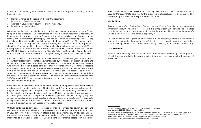In Ecuador, the following information and documentation is required to identify potential banking clients:

- 1. Individual name (as it appears on the identity document)
- 2. Individual profession or degree
- 3. Address in Ecuador or in country of origin / residency
- 4. E-mail and phone number

As above, neither the humanitarian visa, nor the international protection visa, is sufficient to open a bank account if unaccompanied by a valid identity document (specifically an Ecuadorian ID card). According to Ecuadorian law (more precisely, the Organic Law of Identity and Civil Data Management (*Ley Orgánica de Gestión de Identidad y Datos Civiles*), the only valid form of identification in Ecuador is the Ecuadorian ID card. This has generated an obstacle in accessing financial services for foreigners, and even more so, for people in situations of human mobility or in need of international protection. In this regard, UNHCR has made proposals to reform Resolution 319-F of December 28, 2016 and Resolution 353-F of April 17, 2017, issued by the Monetary and Financial Policy and Regulation Board, due to the importance of both asylum seekers and refugees having access to basic financial services.

Resolution 319-F of December 28, 2016 was intended to allow refugees to open basic accounts by presenting the identity document issued by the Ministry of Foreign Relations and Human Mobility. However, it excluded asylum seekers. Furthermore, many asylum seekers who have tried to open a basic bank account by presenting their ID or foreign passport, plus the document that accredits them as asylum seekers (formerly an Asylum Seeker Card, now a humanitarian visa) are unable to access financial services because, at the time of submitting documentation, banks question their immigration status or condition, and deny the requests to open a basic bank account. This resolution was superseded by Resolution 503-F of March 1, 2019 but it maintains the same gaps in access to financial services for both asylum seekers and refugees.

Resolution 353-F establishes that, to verify the identity of an applicant, Ecuadorian citizens must present the original and a copy of their citizen card. Foreign refugees must present the original and a copy of their foreign ID card or passport, plus the identity document issued by the Ministry of Foreign Relations and Human Mobility. In practice, there are cases in which refugees are required to provide additional paperwork than what is legally required, such as an employment contract, certificate of money laundering assets, and / or certificate of migration movement. Provisions contained in Resolution 353-F also leave out asylum seekers, thus creating a gap in access to financial services.

UNHCR continued to advocate for access to financial services for asylum-seekers and refugees. As mentioned above, asylum-seekers are not allowed to open a bank account in Ecuador as their legal / migratory status is considered temporary. In addition, UNHCR presented the proposals (draft resolutions) made to reform the Resolutions previously mentioned to the Superintendence of Banks, aiming to overcome obstacles in the current legal framework. Moreover, UNHCR held meetings with the Association of Private Banks of Ecuador (ASOBANCA) to advocate for the proposals (draft resolutions) to be considered by the Monetary and Financial Policy and Regulation Board.

#### **Mobile Money**

According to the World Bank's Global Findex database, Ecuador's mobile money penetration (in terms of account ownership for 15+ years old) is 2.94 per cent. Ecuador was one of the first Latin American countries to test electronic money through an initiative led by the country's Central Bank,<sup>56</sup> but it failed to achieve popularity.<sup>57</sup>

As with mobile device registration and access to bank accounts, neither the humanitarian visa, nor the international protection, is sufficient to access a mobile money account if they are not accompanied by a valid identity document (specifically an Ecuadorian identity card).

#### **Data Protection**

While Ecuador currently does not have a data protection law, the country is in the process of fast- tracking legislation following a major data breach that has affected thousands of individuals.58

<sup>56</sup> The Economist. Money from nothing?: https://www.economist.com/ americas-view/2014/09/03/money-from-nothing

<sup>57</sup> Cato Institute. The World's First Central Bank Electronic Money Has Come – And Gone: Ecuador, 2014–2018: https://www.cato.org/blog/worlds-first-central-bank-electronic-money-has-come-gone-ecuador-2014-2018

<sup>58</sup> Financial Times. Ecuador fast-tracks data privacy law after massive breach: <https://www.ft.com/content/35f9aea0-dbb0-11e9-8f9b-77216ebe1f17>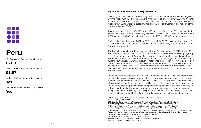### <span id="page-22-0"></span>N 80 D 8 8 nno

## **Peru**

ITU Regulatory Tracker Overall Score:

**87.00**

GSMA Mobile Money Regulatory Index:

**93.67**

Party to the 1951 Refugee Convention:

#### **Yes**

Data Protection and Privacy Legislation:

**Yes**

#### **Registration and Identification of Displaced Persons**

According to information provided by the National Superintendence of Migration (*Migraciones*), 861,049 Venezuelans were living in Peru as of February 2020.59 The National Institute of Statistics and Informatics (*Instituto Nacional de Estadística e Informática* [INEI]) reported that 52.3 per cent of these are men and 47.7 per cent women.<sup>60</sup> The majority of this population is aged 20-34.<sup>61</sup>

According to *Migraciones*, 484,976 people (57 per cent of the total of Venezuelans in the country) have applied for the Temporary Residence Permit (*Permiso Temporal de Residencia*  [PTP]). Of these, 435,871 have already obtained the PTP, and 49,105 are being processed.

Statistics indicate that, from 2001 to 2019, over 482,000 Venezuelans had applied for asylum.62 From 2014 to 2019, 1,230 Venezuelans had been recognized as refugees by the Peruvian government.

The Protection Monitoring Report carried out from January to June of 2019 by UNHCR in Peru, found that 96 per cent of the people interviewed had entered the country regularly, presenting identity cards (52 per cent) or passports (46 per cent) to immigration authorities. People who entered only with their identity card include those highly vulnerable to whom humanitarian exceptions were applied, in consequence the passport was not required if they did not have it: older adults, children and teenagers, families through family reunification, or people with disabilities.<sup>63</sup> 11 per cent of interviewees did not have permission to stay in Peru, which includes people who had entered the country irregularly or had exceeded their allowed stay.<sup>64</sup>

During the second semester of 2019, the percentage of people who had entered Peru regularly decreased to 86 per cent, as a direct consequence of the introduction of more strict migration requirements for Venezuelans on 15 June 2019 (62 per cent of the interviewees who entered the country irregularly reported having done it due to lack of proper documents). Due to changes in the protection monitoring methodology during the second semester, it is not possible to verify the number of people who presented identity cards or passports at immigration control. However, almost 60 per cent of interviewees (with regular and irregular migratory status) affirmed they did not have valid passports and 90 per cent held an identity

62 Update of figures of March 31, 2019. Fuente: Special Commission on Refugees – Ministry of Foreign Relations. This number represents the total number of applicants and does not include decisions by the Commission.

63 UNHCR. First Semester Protection Monitoring Report, October 2019: <https://r4v.info/es/documents/details/71549> (p. 9)

64 UNHCR. First Semester Protection Monitoring Report, October 2019: <https://r4v.info/es/documents/details/71549>(p. 7)

<sup>59</sup> Data update by the National Superintendence of Migration (Superintendencia Nacional de Migraciones) of February 7, 2020.

<sup>60</sup> INEI. Living Conditions of the Venezuelan Population Residing in Peru – June 2019: [https://](https://www.inei.gob.pe/media/MenuRecursivo/publicaciones_digitales/Est/Lib1666/libro.pdf) [www.inei.gob.pe/media/MenuRecursivo/publicaciones\\_digitales/Est/Lib1666/libro.pdf](https://www.inei.gob.pe/media/MenuRecursivo/publicaciones_digitales/Est/Lib1666/libro.pdf) (p. 9)

<sup>61</sup> INEI. Living Conditions of the Venezuelan Population Residing in Peru – June 2019: [https://](https://www.inei.gob.pe/media/MenuRecursivo/publicaciones_digitales/Est/Lib1666/libro.pdf) [www.inei.gob.pe/media/MenuRecursivo/publicaciones\\_digitales/Est/Lib1666/libro.pdf](https://www.inei.gob.pe/media/MenuRecursivo/publicaciones_digitales/Est/Lib1666/libro.pdf) (p. 9)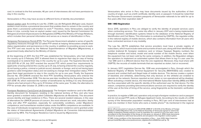card. In contrast to the first semester, 46 per cent of interviewees did not have permission to stay in the country.

Venezuelans in Peru may have access to different forms of identity documentation:

Asylum seeker card: According to Law No. 27,891, *Ley del Refugiado* (Refugee Law), Asylum seekers must receive a provisional document that enables them to remain in the country and gives them a provisional authorization to work.65 Therefore, many Venezuelans, especially those in Lima, currently have an asylum seeker card, issued by the Special Commission for Refugees (*Comisión Especial para los Refugiados* [CEPR]) of the Ministry of Foreign Relations, which includes their personal information and serves as a means of identification in Peru.

Temporary Permanence Permit (PTP): The Peruvian Government adopted a series of specific regulatory measures through the so-called PTP aimed at helping Venezuelans simplify their status regularization and permanence in the country, in addition to providing access to work. The PTP card was issued by the National Superintendence of Migration (Migraciones), a government body attached to the Ministry of Interior.

At the beginning of 2017, the first PTP was established for Venezuelans, who had entered the country up to 3 February 2017. It allowed them to regularize their stay (in case of having overstayed) or to extend their stay in the country for up to a year. The Supreme Decree No. 023-2017-IN of 29 July 2017 enacted the second PTP, which posed four requirements to applicants: i) having entered the country up to 31 July, ii) having entered the country regularly, iii) not having a police, criminal or judicial record, domestic or foreign, and iv) not having been granted a valid immigration status and not seeking to change their immigration status. PTP-II gave them legal permission to stay in the country for up to one year. Finally, the Supreme Decree No. 001-2018-IN enacted the third PTP, benefiting Venezuelans who entered the country up to 31 December 2018. This decree was later modified by the Supreme Decree No. 007-2018- IN, which restricted the number of beneficiaries by limiting it to only Venezuelan citizens who had arrived in Peru up to 31 October of the same year. To date, the alternative to PTP for arrivals after October 31, 2018 is not available.

Foreigner Residence Card (*Carné de Extranjería*): The foreigner residence card is the official identity document for foreigners residing in the national territory of Peru and who have been granted a resident status (called *Calidades Migratorias de Residente*). This document proves identity and legal residence in Peru. There are several resident statuses, in the case of alternatives for UNHCR persons of concern, the most relevant are: work, education, family unity and after PTP expiration, especially for vulnerability conditions, under Migrations' competence; and humanitarian resident status under the MFA's competence are available. In the case of individuals recognized as refugees, the foreigner residence card is granted under the status of International Agreements (*Calidad Migratoria de Convenios Internacionales*) approved by MFA. The Foreigner Residence Card is issued by *Migraciones*.

Venezuelans who arrive in Peru may have documents issued by the authorities of their country of origin, such as a birth certificate, identity card, or passport. It should be noted that the Peruvian Government considers passports of Venezuelan nationals to be valid for up to five years after their expiration date.<sup>66</sup>

#### **SIM / IMEI Registration**

Since 2015, operators in Peru are obliged to verify the identity of prepaid services users when contracting services. This came into effect in January 2017 and is being implemented through biometric identification systems linked to the database of the National Registry of Identification and Civil Status. This information is centralized by OSIPTEL, the regulator entity, in the national registry of mobile devices, which also contains information from all users who have contracted services in any modality.

The Law No. 28,774 establishes that service providers must have a private registry of subscribers, which must include name and surname of each user, along with their identification number (national ID, foreigner residence card or Unique Taxpayer Registry number), the telephone number and brand, model and serial number of the mobile device, even when the equipment has not been sold by the same company. In addition, the Regulation obliges the operators to implement an automated system that allows them to log if a user uses his / her SIM card in a different device than the one registered. Moreover, they must share with OSIPTEL the records of mobile terminals that are reported as stolen, lost or recovered.

In January 2017, Legislative Decree No. 1338 was promulgated in Peru, through which the National Registry of Mobile Terminal Equipment for Security (RENTESEG) was created to prevent and combat theft and illegal trade of mobile devices. This decree creates a system of blacklists and whitelists, determining that only devices on the whitelist are enabled to operate on the network. Devices reported as lost, stolen or non-operational will be disabled. When activating a mobile device, the International Mobile Subscriber Identity (IMSI) and IMEI are thus associated with the specific identity of the authorized user for that device. For this reason, companies providing telecommunications services are required to verify the identity of the user at the time of hiring of the service, using fingerprints as the biometric verification system.

In practice, to register a SIM card, operators only accept a foreigner residence card or passport and do not accept PTP cards or Refugee Applicant Cards. According to the results of a 2018 survey of the Venezuelan population residing in Peru, 90.3 per cent of interviewees had at least one member in their home who owns a mobile phone.<sup>67</sup> As mentioned in the regional

<sup>66</sup> An official document of January 8, 2019 (OF.RE (VMR) Nº 2-10-E/41) of the Ministry of Foreign Relations notified Migrations that, as the National Assembly of Venezuela agreed to extend the validity of passports already expired or due for expiration for a period of up to five years, and in accordance to the Declaration of the Group of Lima given on January 4, 2019, these documents should be accepted as valid travel documents and accepted in the migration control system.

<sup>67</sup> INEI. Living conditions of the Venezuelan population in Peru – June 2019: [https://www.inei.](https://www.inei.gob.pe/media/MenuRecursivo/publicaciones_digitales/Est/Lib1666/libro.pdf) [gob.pe/media/MenuRecursivo/publicaciones\\_digitales/Est/Lib1666/libro.pdf](https://www.inei.gob.pe/media/MenuRecursivo/publicaciones_digitales/Est/Lib1666/libro.pdf) (p. 13)

<sup>65</sup> Article 14 of Law No. 27,891 – Refugee Law (Ley del Refugiado)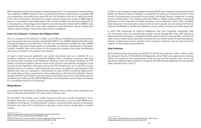R4V Information and Communications Needs Assessment.<sup>68</sup> it is important to note that there was evidence of MNOs agents in Peru accepting Venezuelan national IDs to complete SIM card registration processes while these IDs are not included in the list of valid documents in the case of foreigners. This practice is quite common across the country as MNO agents work on a commission basis depending on the number of SIM cards sold and registered. As a consequence, when refugees and migrants were entering into contact with the MNOs, they realized that those SIM cards have been registered under Peruvians' names, limiting their ability to make changes in their lines, plans and file complaints.

#### **Know Your Customer / Customer Due Diligence Rules**

Peru is a member of the GAFILAT. In 2002, Law 27765, the Anti-Money Laundering Criminal Law, was passed, but was not enforced until April 2012.<sup>69</sup> Law 27693 established the Peruvian Financial Intelligence Unit (UIF-Peru). This law was subsequently modified by Laws 28009 and 28306. High-level requirements for verification of customer identification information include: complete name and surname of the prospective customer, birth date, identification document, profession or occupation and address.

To open a bank account, applicants can submit documents such as a national ID or a foreigner residence card. As recognized refugees have a foreigner residence card, they can access bank accounts in all institutions. However, there are several obstacles for PTP holders and asylum seekers because these forms of ID are not explicitly recognized in the financial sector regulations although in theory the PTP should serve as a valid ID to access banking services. In practice, most banks ask for a series of additional requirements to this identity card, such as a passport or authorization to sign contracts issued by *Migraciones*. The application of these requirements varies depending on the financial institution. Asylum seekers and PTP card holders have been able to open bank accounts in a few banks such as the *Banco de Crédito del Perú* (BCP), BBVA Peru, and Scotiabank, but this does not happen in a coordinated manner in all branches.

#### **Mobile Money**

According to the World Bank's Global Findex database, Peru's mobile money penetration (in terms of account ownership for 15+ years old) is 2.63 per cent.

As indicated in the Findex score, mobile money accounts are not fully developed in Peru. However, there are a number of bank applications that allow it, such as BCP, BBVA Peru, and Banco de la Nación. To make transfers, having a connected bank account is mandatory. Therefore, the same KYC restrictions for opening a bank account would apply to mobile money.

In 2015, a new enterprise, Pagos Digital Peruanos (PDP), was created to implement the Peru Model, the financial sector's strategy to accelerate the process of financial inclusion in the country. It groups banks, municipal savings banks, rural banks, finance companies, e-money issuers, among others. The company developed Bim, a mobile money platform. It based its operations on the networks of mobile operators such as Movistar, Claro, Entel, and Bitel. Even though it is not necessary to have a bank account, people can use banks and financial institutions affiliated to transfer and withdraw money, mobile recharge, and utility payments.

In 2017, PDP developed an artificial intelligence tool from Facebook messenger. With this, Facebook users can automatically transfer money through Bim. Also, PDP signed an agreement with a company in charge of the POS system in Peru. In this way, Bim's users do not need credit or debit cards to purchase and they can use mobile money in authorized places. Having a mobile phone and an identity card or foreigner residence card are requirements to register on this mobile money platform.

#### **Data Protection**

Peru's Personal Data Protection Law (PDPL) N° 29.733 was enacted in 2011. In March 2013, the Supreme Decree N° 003-2013-JUS-Regulation of the PDLP was published to develop, clarify, and expand on the requirements of the law and set forth specific rules, terms, and provisions regarding data protection. Combined, the PDLP and its Regulation are the primary data protection laws in Peru.70

<sup>68</sup> R4V. Regional Information and Communication Needs Assessment: <https://r4v.info/es/documents/download/73683> (p. 22)

<sup>69</sup> PWC. Know Your Customer: [https://www.pwc.com/gx/en/financial-services/](https://www.pwc.com/gx/en/financial-services/publications/assets/pwc-anti-money-laundering-2016.pdf) [publications/assets/pwc-anti-money-laundering-2016.pdf](https://www.pwc.com/gx/en/financial-services/publications/assets/pwc-anti-money-laundering-2016.pdf) (p. 295)

<sup>70</sup> DLA Piper. Data Protection Laws of the World: Peru https://www. dlapiperdataprotection.com/index.html?t=law&c=PE